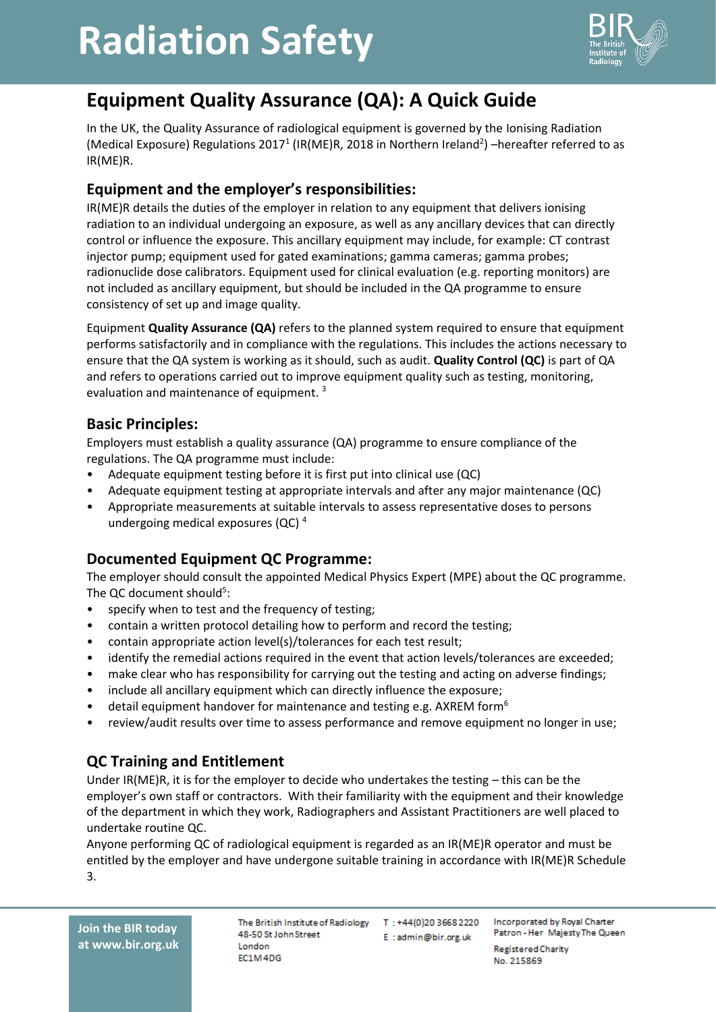# **Radiation Safety**



### **Equipment Quality Assurance (QA): A Quick Guide**

In the UK, the Quality Assurance of radiological equipment is governed by the Ionising Radiation (Medical Exposure) Regulations 2017<sup>1</sup> (IR(ME)R, 2018 in Northern Ireland<sup>2</sup>) –hereafter referred to as IR(ME)R.

#### **Equipment and the employer's responsibilities:**

IR(ME)R details the duties of the employer in relation to any equipment that delivers ionising radiation to an individual undergoing an exposure, as well as any ancillary devices that can directly control or influence the exposure. This ancillary equipment may include, for example: CT contrast injector pump; equipment used for gated examinations; gamma cameras; gamma probes; radionuclide dose calibrators. Equipment used for clinical evaluation (e.g. reporting monitors) are not included as ancillary equipment, but should be included in the QA programme to ensure consistency of set up and image quality.

Equipment **Quality Assurance (QA)** refers to the planned system required to ensure that equipment performs satisfactorily and in compliance with the regulations. This includes the actions necessary to ensure that the QA system is working as it should, such as audit. **Quality Control (QC)** is part of QA and refers to operations carried out to improve equipment quality such as testing, monitoring, evaluation and maintenance of equipment.<sup>3</sup>

#### **Basic Principles:**

Employers must establish a quality assurance (QA) programme to ensure compliance of the regulations. The QA programme must include:

- Adequate equipment testing before it is first put into clinical use (QC)
- Adequate equipment testing at appropriate intervals and after any major maintenance (QC)
- Appropriate measurements at suitable intervals to assess representative doses to persons undergoing medical exposures (QC) <sup>4</sup>

### **Documented Equipment QC Programme:**

The employer should consult the appointed Medical Physics Expert (MPE) about the QC programme. The QC document should<sup>5</sup>:

- specify when to test and the frequency of testing;
- contain a written protocol detailing how to perform and record the testing;
- contain appropriate action level(s)/tolerances for each test result;

FC1M4DG

- identify the remedial actions required in the event that action levels/tolerances are exceeded;
- make clear who has responsibility for carrying out the testing and acting on adverse findings;
- include all ancillary equipment which can directly influence the exposure;
- detail equipment handover for maintenance and testing e.g. AXREM form<sup>6</sup>
- review/audit results over time to assess performance and remove equipment no longer in use;

#### **QC Training and Entitlement**

Under IR(ME)R, it is for the employer to decide who undertakes the testing – this can be the employer's own staff or contractors. With their familiarity with the equipment and their knowledge of the department in which they work, Radiographers and Assistant Practitioners are well placed to undertake routine QC.

Anyone performing QC of radiological equipment is regarded as an IR(ME)R operator and must be entitled by the employer and have undergone suitable training in accordance with IR(ME)R Schedule 3.